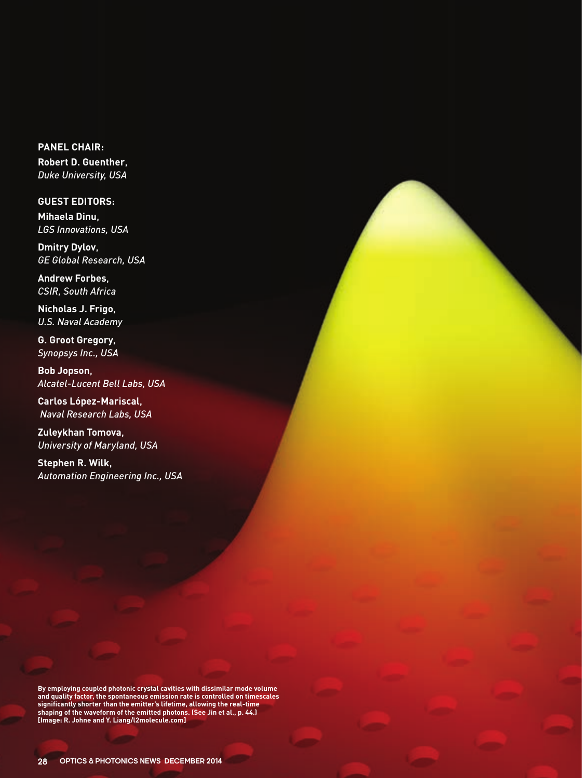**PANEL CHAIR: Robert D. Guenther**, *Duke University, USA*

**GUEST EDITORS: Mihaela Dinu**, *LGS Innovations, USA*

**Dmitry Dylov**, *GE Global Research, USA*

**Andrew Forbes**, *CSIR, South Africa*

**Nicholas J. Frigo**, *U.S. Naval Academy*

**G. Groot Gregory**, *Synopsys Inc., USA*

**Bob Jopson**, *Alcatel-Lucent Bell Labs, USA*

**Carlos López-Mariscal**, *Naval Research Labs, USA*

**Zuleykhan Tomova**, *University of Maryland, USA*

**Stephen R. Wilk**, *Automation Engineering Inc., USA*

**By employing coupled photonic crystal cavities with dissimilar mode volume and quality factor, the spontaneous emission rate is controlled on timescales significantly shorter than the emitter's lifetime, allowing the real-time shaping of the waveform of the emitted photons. (See Jin et al., p. 44.) [Image: R. Johne and Y. Liang/l2molecule.com]**